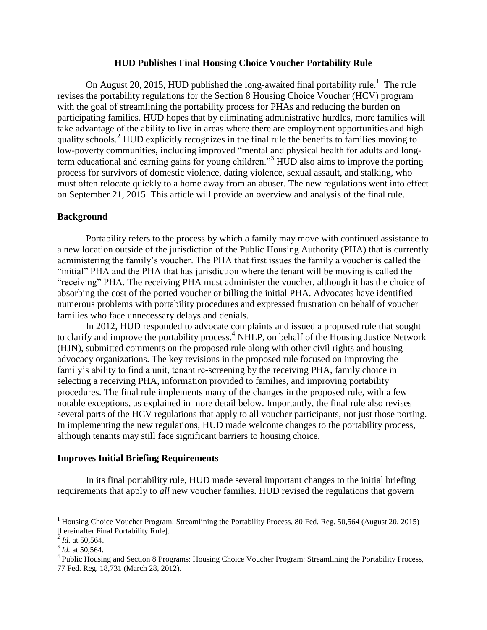# **HUD Publishes Final Housing Choice Voucher Portability Rule**

On August 20, 2015, HUD published the long-awaited final portability rule.<sup>1</sup> The rule revises the portability regulations for the Section 8 Housing Choice Voucher (HCV) program with the goal of streamlining the portability process for PHAs and reducing the burden on participating families. HUD hopes that by eliminating administrative hurdles, more families will take advantage of the ability to live in areas where there are employment opportunities and high quality schools.<sup>2</sup> HUD explicitly recognizes in the final rule the benefits to families moving to low-poverty communities, including improved "mental and physical health for adults and longterm educational and earning gains for young children."<sup>3</sup> HUD also aims to improve the porting process for survivors of domestic violence, dating violence, sexual assault, and stalking, who must often relocate quickly to a home away from an abuser. The new regulations went into effect on September 21, 2015. This article will provide an overview and analysis of the final rule.

## **Background**

Portability refers to the process by which a family may move with continued assistance to a new location outside of the jurisdiction of the Public Housing Authority (PHA) that is currently administering the family's voucher. The PHA that first issues the family a voucher is called the "initial" PHA and the PHA that has jurisdiction where the tenant will be moving is called the "receiving" PHA. The receiving PHA must administer the voucher, although it has the choice of absorbing the cost of the ported voucher or billing the initial PHA. Advocates have identified numerous problems with portability procedures and expressed frustration on behalf of voucher families who face unnecessary delays and denials.

In 2012, HUD responded to advocate complaints and issued a proposed rule that sought to clarify and improve the portability process. <sup>4</sup> NHLP, on behalf of the Housing Justice Network (HJN), submitted comments on the proposed rule along with other civil rights and housing advocacy organizations. The key revisions in the proposed rule focused on improving the family's ability to find a unit, tenant re-screening by the receiving PHA, family choice in selecting a receiving PHA, information provided to families, and improving portability procedures. The final rule implements many of the changes in the proposed rule, with a few notable exceptions, as explained in more detail below. Importantly, the final rule also revises several parts of the HCV regulations that apply to all voucher participants, not just those porting. In implementing the new regulations, HUD made welcome changes to the portability process, although tenants may still face significant barriers to housing choice.

## **Improves Initial Briefing Requirements**

In its final portability rule, HUD made several important changes to the initial briefing requirements that apply to *all* new voucher families. HUD revised the regulations that govern

l

<sup>&</sup>lt;sup>1</sup> Housing Choice Voucher Program: Streamlining the Portability Process, 80 Fed. Reg. 50,564 (August 20, 2015) [hereinafter Final Portability Rule].

 $^{2}$  *Id.* at 50,564.

<sup>&</sup>lt;sup>3</sup> *Id.* at 50,564.

<sup>&</sup>lt;sup>4</sup> Public Housing and Section 8 Programs: Housing Choice Voucher Program: Streamlining the Portability Process, 77 Fed. Reg. 18,731 (March 28, 2012).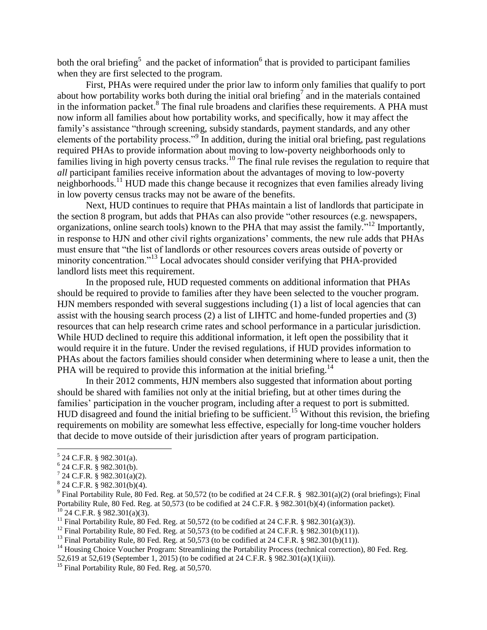both the oral briefing<sup>5</sup> and the packet of information<sup>6</sup> that is provided to participant families when they are first selected to the program.

First, PHAs were required under the prior law to inform only families that qualify to port about how portability works both during the initial oral briefing<sup>7</sup> and in the materials contained in the information packet.<sup>8</sup> The final rule broadens and clarifies these requirements. A PHA must now inform all families about how portability works, and specifically, how it may affect the family's assistance "through screening, subsidy standards, payment standards, and any other elements of the portability process."<sup>9</sup> In addition, during the initial oral briefing, past regulations required PHAs to provide information about moving to low-poverty neighborhoods only to families living in high poverty census tracks.<sup>10</sup> The final rule revises the regulation to require that *all* participant families receive information about the advantages of moving to low-poverty neighborhoods.<sup>11</sup> HUD made this change because it recognizes that even families already living in low poverty census tracks may not be aware of the benefits.

Next, HUD continues to require that PHAs maintain a list of landlords that participate in the section 8 program, but adds that PHAs can also provide "other resources (e.g. newspapers, organizations, online search tools) known to the PHA that may assist the family.<sup>"12</sup> Importantly, in response to HJN and other civil rights organizations' comments, the new rule adds that PHAs must ensure that "the list of landlords or other resources covers areas outside of poverty or minority concentration."<sup>13</sup> Local advocates should consider verifying that PHA-provided landlord lists meet this requirement.

In the proposed rule, HUD requested comments on additional information that PHAs should be required to provide to families after they have been selected to the voucher program. HJN members responded with several suggestions including (1) a list of local agencies that can assist with the housing search process (2) a list of LIHTC and home-funded properties and (3) resources that can help research crime rates and school performance in a particular jurisdiction. While HUD declined to require this additional information, it left open the possibility that it would require it in the future. Under the revised regulations, if HUD provides information to PHAs about the factors families should consider when determining where to lease a unit, then the PHA will be required to provide this information at the initial briefing.<sup>14</sup>

In their 2012 comments, HJN members also suggested that information about porting should be shared with families not only at the initial briefing, but at other times during the families' participation in the voucher program, including after a request to port is submitted. HUD disagreed and found the initial briefing to be sufficient.<sup>15</sup> Without this revision, the briefing requirements on mobility are somewhat less effective, especially for long-time voucher holders that decide to move outside of their jurisdiction after years of program participation.

 $\overline{\phantom{a}}$ 

 $5$  24 C.F.R. § 982.301(a).

 $6$  24 C.F.R. § 982.301(b).

 $7$  24 C.F.R. § 982.301(a)(2).

 $8^{8}$  24 C.F.R. § 982.301(b)(4).

<sup>&</sup>lt;sup>9</sup> Final Portability Rule, 80 Fed. Reg. at 50,572 (to be codified at 24 C.F.R. § 982.301(a)(2) (oral briefings); Final Portability Rule, 80 Fed. Reg. at 50,573 (to be codified at 24 C.F.R. § 982.301(b)(4) (information packet).  $^{10}$  24 C.F.R. § 982.301(a)(3).

<sup>&</sup>lt;sup>11</sup> Final Portability Rule, 80 Fed. Reg. at 50,572 (to be codified at 24 C.F.R. § 982.301(a)(3)).

<sup>&</sup>lt;sup>12</sup> Final Portability Rule, 80 Fed. Reg. at 50,573 (to be codified at 24 C.F.R. § 982.301(b)(11)).

<sup>&</sup>lt;sup>13</sup> Final Portability Rule, 80 Fed. Reg. at 50,573 (to be codified at 24 C.F.R. § 982.301(b)(11)).

<sup>&</sup>lt;sup>14</sup> Housing Choice Voucher Program: Streamlining the Portability Process (technical correction), 80 Fed. Reg. 52,619 at 52,619 (September 1, 2015) (to be codified at 24 C.F.R. § 982.301(a)(1)(iii)).

<sup>&</sup>lt;sup>15</sup> Final Portability Rule, 80 Fed. Reg. at 50,570.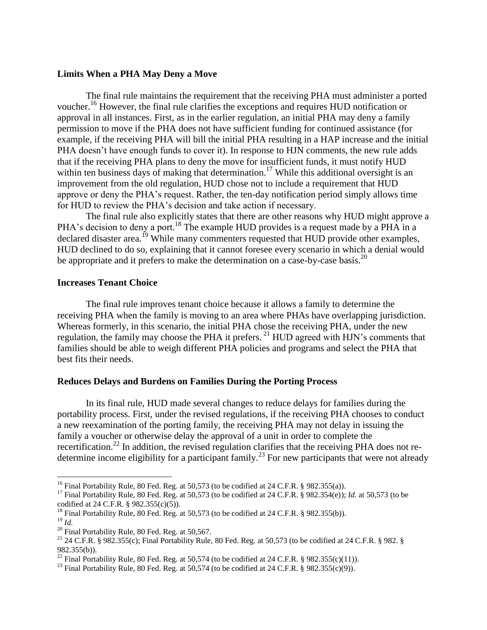## **Limits When a PHA May Deny a Move**

The final rule maintains the requirement that the receiving PHA must administer a ported voucher.<sup>16</sup> However, the final rule clarifies the exceptions and requires HUD notification or approval in all instances. First, as in the earlier regulation, an initial PHA may deny a family permission to move if the PHA does not have sufficient funding for continued assistance (for example, if the receiving PHA will bill the initial PHA resulting in a HAP increase and the initial PHA doesn't have enough funds to cover it). In response to HJN comments, the new rule adds that if the receiving PHA plans to deny the move for insufficient funds, it must notify HUD within ten business days of making that determination.<sup>17</sup> While this additional oversight is an improvement from the old regulation, HUD chose not to include a requirement that HUD approve or deny the PHA's request. Rather, the ten-day notification period simply allows time for HUD to review the PHA's decision and take action if necessary.

The final rule also explicitly states that there are other reasons why HUD might approve a PHA's decision to deny a port.<sup>18</sup> The example HUD provides is a request made by a PHA in a declared disaster area.<sup>19</sup> While many commenters requested that HUD provide other examples, HUD declined to do so, explaining that it cannot foresee every scenario in which a denial would be appropriate and it prefers to make the determination on a case-by-case basis.<sup>20</sup>

#### **Increases Tenant Choice**

The final rule improves tenant choice because it allows a family to determine the receiving PHA when the family is moving to an area where PHAs have overlapping jurisdiction. Whereas formerly, in this scenario, the initial PHA chose the receiving PHA, under the new regulation, the family may choose the PHA it prefers.<sup>21</sup> HUD agreed with HJN's comments that families should be able to weigh different PHA policies and programs and select the PHA that best fits their needs.

# **Reduces Delays and Burdens on Families During the Porting Process**

In its final rule, HUD made several changes to reduce delays for families during the portability process. First, under the revised regulations, if the receiving PHA chooses to conduct a new reexamination of the porting family, the receiving PHA may not delay in issuing the family a voucher or otherwise delay the approval of a unit in order to complete the recertification.<sup>22</sup> In addition, the revised regulation clarifies that the receiving PHA does not redetermine income eligibility for a participant family.<sup>23</sup> For new participants that were not already

 $\overline{\phantom{a}}$ 

<sup>&</sup>lt;sup>16</sup> Final Portability Rule, 80 Fed. Reg. at 50,573 (to be codified at 24 C.F.R. § 982.355(a)).

<sup>&</sup>lt;sup>17</sup> Final Portability Rule, 80 Fed. Reg. at 50,573 (to be codified at 24 C.F.R. § 982.354(e)); *Id.* at 50,573 (to be codified at 24 C.F.R. § 982.355(c)(5)).

<sup>&</sup>lt;sup>18</sup> Final Portability Rule, 80 Fed. Reg. at 50,573 (to be codified at 24 C.F.R. § 982.355(b)). <sup>19</sup> *Id.*

 $20$  Final Portability Rule, 80 Fed. Reg. at 50,567.

<sup>&</sup>lt;sup>21</sup> 24 C.F.R. § 982.355(c); Final Portability Rule, 80 Fed. Reg. at 50,573 (to be codified at 24 C.F.R. § 982. § 982.355(b)).

<sup>&</sup>lt;sup>22</sup> Final Portability Rule, 80 Fed. Reg. at 50,574 (to be codified at 24 C.F.R. § 982.355(c)(11)).

<sup>&</sup>lt;sup>23</sup> Final Portability Rule, 80 Fed. Reg. at 50,574 (to be codified at 24 C.F.R. § 982.355(c)(9)).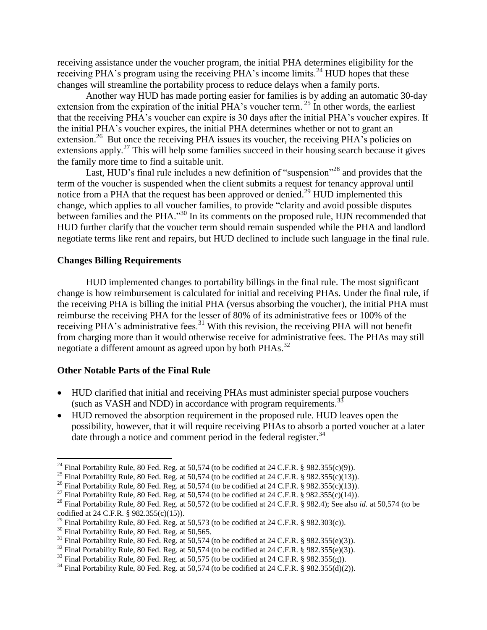receiving assistance under the voucher program, the initial PHA determines eligibility for the receiving PHA's program using the receiving PHA's income limits.<sup>24</sup> HUD hopes that these changes will streamline the portability process to reduce delays when a family ports.

Another way HUD has made porting easier for families is by adding an automatic 30-day extension from the expiration of the initial PHA's voucher term.<sup>25</sup> In other words, the earliest that the receiving PHA's voucher can expire is 30 days after the initial PHA's voucher expires. If the initial PHA's voucher expires, the initial PHA determines whether or not to grant an extension.<sup>26</sup> But once the receiving PHA issues its voucher, the receiving PHA's policies on extensions apply.<sup>27</sup> This will help some families succeed in their housing search because it gives the family more time to find a suitable unit.

Last, HUD's final rule includes a new definition of "suspension"<sup>28</sup> and provides that the term of the voucher is suspended when the client submits a request for tenancy approval until notice from a PHA that the request has been approved or denied.<sup>29</sup> HUD implemented this change, which applies to all voucher families, to provide "clarity and avoid possible disputes between families and the PHA."<sup>30</sup> In its comments on the proposed rule, HJN recommended that HUD further clarify that the voucher term should remain suspended while the PHA and landlord negotiate terms like rent and repairs, but HUD declined to include such language in the final rule.

# **Changes Billing Requirements**

HUD implemented changes to portability billings in the final rule. The most significant change is how reimbursement is calculated for initial and receiving PHAs. Under the final rule, if the receiving PHA is billing the initial PHA (versus absorbing the voucher), the initial PHA must reimburse the receiving PHA for the lesser of 80% of its administrative fees or 100% of the receiving PHA's administrative fees.<sup>31</sup> With this revision, the receiving PHA will not benefit from charging more than it would otherwise receive for administrative fees. The PHAs may still negotiate a different amount as agreed upon by both PHAs.<sup>32</sup>

## **Other Notable Parts of the Final Rule**

- HUD clarified that initial and receiving PHAs must administer special purpose vouchers (such as VASH and NDD) in accordance with program requirements.<sup>33</sup>
- HUD removed the absorption requirement in the proposed rule. HUD leaves open the possibility, however, that it will require receiving PHAs to absorb a ported voucher at a later date through a notice and comment period in the federal register.<sup>34</sup>

 $\overline{a}$ 

<sup>&</sup>lt;sup>24</sup> Final Portability Rule, 80 Fed. Reg. at 50,574 (to be codified at 24 C.F.R. § 982.355(c)(9)).

<sup>&</sup>lt;sup>25</sup> Final Portability Rule, 80 Fed. Reg. at 50,574 (to be codified at 24 C.F.R. § 982.355(c)(13)).

<sup>&</sup>lt;sup>26</sup> Final Portability Rule, 80 Fed. Reg. at 50,574 (to be codified at 24 C.F.R. § 982.355(c)(13)).

<sup>&</sup>lt;sup>27</sup> Final Portability Rule, 80 Fed. Reg. at 50,574 (to be codified at 24 C.F.R. § 982.355(c)(14)).

<sup>28</sup> Final Portability Rule, 80 Fed. Reg. at 50,572 (to be codified at 24 C.F.R. § 982.4); See also *id.* at 50,574 (to be codified at 24 C.F.R. § 982.355(c)(15)).

<sup>&</sup>lt;sup>29</sup> Final Portability Rule, 80 Fed. Reg. at 50,573 (to be codified at 24 C.F.R. § 982.303(c)).

<sup>&</sup>lt;sup>30</sup> Final Portability Rule, 80 Fed. Reg. at 50,565.

<sup>&</sup>lt;sup>31</sup> Final Portability Rule, 80 Fed. Reg. at 50,574 (to be codified at 24 C.F.R. § 982.355(e)(3)).

 $32$  Final Portability Rule, 80 Fed. Reg. at 50,574 (to be codified at 24 C.F.R. § 982.355(e)(3)).

<sup>&</sup>lt;sup>33</sup> Final Portability Rule, 80 Fed. Reg. at 50,575 (to be codified at 24 C.F.R. § 982.355(g)).

<sup>&</sup>lt;sup>34</sup> Final Portability Rule, 80 Fed. Reg. at 50,574 (to be codified at 24 C.F.R. § 982.355(d)(2)).